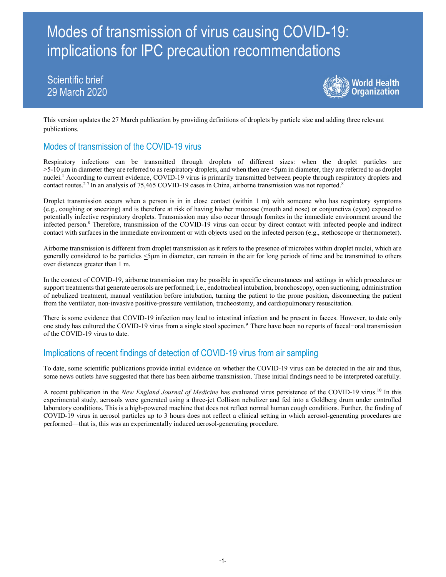# Modes of transmission of virus causing COVID-19: implications for IPC precaution recommendations

# Scientific brief 29 March 2020



This version updates the 27 March publication by providing definitions of droplets by particle size and adding three relevant publications.

## Modes of transmission of the COVID-19 virus

Respiratory infections can be transmitted through droplets of different sizes: when the droplet particles are >5-10 μm in diameter they are referred to as respiratory droplets, and when then are <5μm in diameter, they are referred to as droplet nuclei.<sup>1</sup> According to current evidence, COVID-19 virus is primarily transmitted between people through respiratory droplets and contact routes.<sup>2-7</sup> In an analysis of 75,465 COVID-19 cases in China, airborne transmission was not reported.<sup>8</sup>

Droplet transmission occurs when a person is in in close contact (within 1 m) with someone who has respiratory symptoms (e.g., coughing or sneezing) and is therefore at risk of having his/her mucosae (mouth and nose) or conjunctiva (eyes) exposed to potentially infective respiratory droplets. Transmission may also occur through fomites in the immediate environment around the infected person.<sup>8</sup> Therefore, transmission of the COVID-19 virus can occur by direct contact with infected people and indirect contact with surfaces in the immediate environment or with objects used on the infected person (e.g., stethoscope or thermometer).

Airborne transmission is different from droplet transmission as it refers to the presence of microbes within droplet nuclei, which are generally considered to be particles <5μm in diameter, can remain in the air for long periods of time and be transmitted to others over distances greater than 1 m.

In the context of COVID-19, airborne transmission may be possible in specific circumstances and settings in which procedures or support treatments that generate aerosols are performed; i.e., endotracheal intubation, bronchoscopy, open suctioning, administration of nebulized treatment, manual ventilation before intubation, turning the patient to the prone position, disconnecting the patient from the ventilator, non-invasive positive-pressure ventilation, tracheostomy, and cardiopulmonary resuscitation.

There is some evidence that COVID-19 infection may lead to intestinal infection and be present in faeces. However, to date only one study has cultured the COVID-19 virus from a single stool specimen.<sup>9</sup> There have been no reports of faecal−oral transmission of the COVID-19 virus to date.

### Implications of recent findings of detection of COVID-19 virus from air sampling

To date, some scientific publications provide initial evidence on whether the COVID-19 virus can be detected in the air and thus, some news outlets have suggested that there has been airborne transmission. These initial findings need to be interpreted carefully.

A recent publication in the New England Journal of Medicine has evaluated virus persistence of the COVID-19 virus.<sup>10</sup> In this experimental study, aerosols were generated using a three-jet Collison nebulizer and fed into a Goldberg drum under controlled laboratory conditions. This is a high-powered machine that does not reflect normal human cough conditions. Further, the finding of COVID-19 virus in aerosol particles up to 3 hours does not reflect a clinical setting in which aerosol-generating procedures are performed—that is, this was an experimentally induced aerosol-generating procedure.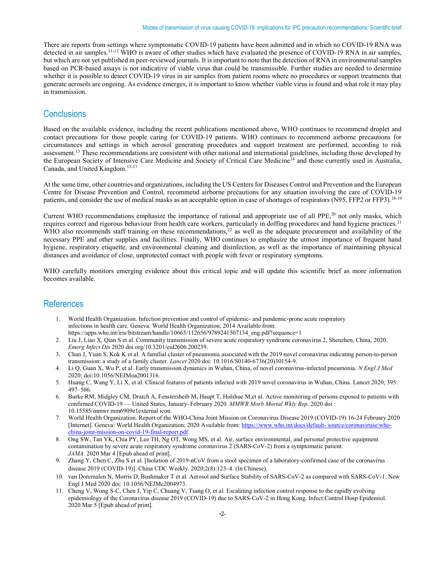There are reports from settings where symptomatic COVID-19 patients have been admitted and in which no COVID-19 RNA was detected in air samples.<sup>11-12</sup> WHO is aware of other studies which have evaluated the presence of COVID-19 RNA in air samples, but which are not yet published in peer-reviewed journals. It is important to note that the detection of RNA in environmental samples based on PCR-based assays is not indicative of viable virus that could be transmissible. Further studies are needed to determine whether it is possible to detect COVID-19 virus in air samples from patient rooms where no procedures or support treatments that generate aerosols are ongoing. As evidence emerges, it is important to know whether viable virus is found and what role it may play in transmission.

#### **Conclusions**

Based on the available evidence, including the recent publications mentioned above, WHO continues to recommend droplet and contact precautions for those people caring for COVID-19 patients. WHO continues to recommend airborne precautions for circumstances and settings in which aerosol generating procedures and support treatment are performed, according to risk assessment.<sup>13</sup> These recommendations are consistent with other national and international guidelines, including those developed by the European Society of Intensive Care Medicine and Society of Critical Care Medicine<sup>14</sup> and those currently used in Australia, Canada, and United Kingdom.15-17

At the same time, other countries and organizations, including the US Centers for Diseases Control and Prevention and the European Centre for Disease Prevention and Control, recommend airborne precautions for any situation involving the care of COVID-19 patients, and consider the use of medical masks as an acceptable option in case of shortages of respirators (N95, FFP2 or FFP3).<sup>18-19</sup>

Current WHO recommendations emphasize the importance of rational and appropriate use of all PPE,<sup>20</sup> not only masks, which requires correct and rigorous behaviour from health care workers, particularly in doffing procedures and hand hygiene practices.<sup>21</sup> WHO also recommends staff training on these recommendations,<sup>22</sup> as well as the adequate procurement and availability of the necessary PPE and other supplies and facilities. Finally, WHO continues to emphasize the utmost importance of frequent hand hygiene, respiratory etiquette, and environmental cleaning and disinfection, as well as the importance of maintaining physical distances and avoidance of close, unprotected contact with people with fever or respiratory symptoms.

WHO carefully monitors emerging evidence about this critical topic and will update this scientific brief as more information becomes available.

#### References

- 1. World Health Organization. Infection prevention and control of epidemic- and pandemic-prone acute respiratory infections in health care. Geneva: World Health Organization; 2014 Available from: https://apps.who.int/iris/bitstream/handle/10665/112656/9789241507134\_eng.pdf?sequence=1
- 2. Liu J, Liao X, Qian S et al. Community transmission of severe acute respiratory syndrome coronavirus 2, Shenzhen, China, 2020. Emerg Infect Dis 2020 doi.org/10.3201/eid2606.200239.
- 3. Chan J, Yuan S, Kok K et al. A familial cluster of pneumonia associated with the 2019 novel coronavirus indicating person-to-person transmission: a study of a family cluster. Lancet 2020 doi: 10.1016/S0140-6736(20)30154-9.
- 4. Li Q, Guan X, Wu P, et al. Early transmission dynamics in Wuhan, China, of novel coronavirus-infected pneumonia. N Engl J Med 2020; doi:10.1056/NEJMoa2001316.
- 5. Huang C, Wang Y, Li X, et al. Clinical features of patients infected with 2019 novel coronavirus in Wuhan, China. Lancet 2020; 395: 497–506.
- 6. Burke RM, Midgley CM, Dratch A, Fenstersheib M, Haupt T, Holshue M,et al. Active monitoring of persons exposed to patients with confirmed COVID-19 — United States, January–February 2020. MMWR Morb Mortal Wkly Rep. 2020 doi : 10.15585/mmwr.mm6909e1external icon.
- 7. World Health Organization. Report of the WHO-China Joint Mission on Coronavirus Disease 2019 (COVID-19) 16-24 February 2020 [Internet]. Geneva: World Health Organization; 2020 Available from: https://www.who.int/docs/default- source/coronaviruse/whochina-joint-mission-on-covid-19-final-report.pdf.
- 8. Ong SW, Tan YK, Chia PY, Lee TH, Ng OT, Wong MS, et al. Air, surface environmental, and personal protective equipment contamination by severe acute respiratory syndrome coronavirus 2 (SARS-CoV-2) from a symptomatic patient. JAMA. 2020 Mar 4 [Epub ahead of print].
- 9. Zhang Y, Chen C, Zhu S et al. [Isolation of 2019-nCoV from a stool specimen of a laboratory-confirmed case of the coronavirus disease 2019 (COVID-19)]. China CDC Weekly. 2020;2(8):123–4. (In Chinese).
- 10. van Doremalen N, Morris D, Bushmaker T et al. Aerosol and Surface Stability of SARS-CoV-2 as compared with SARS-CoV-1. New Engl J Med 2020 doi: 10.1056/NEJMc2004973.
- 11. Cheng V, Wong S-C, Chen J, Yip C, Chuang V, Tsang O, et al. Escalating infection control response to the rapidly evolving epidemiology of the Coronavirus disease 2019 (COVID-19) due to SARS-CoV-2 in Hong Kong. Infect Control Hosp Epidemiol. 2020 Mar 5 [Epub ahead of print].